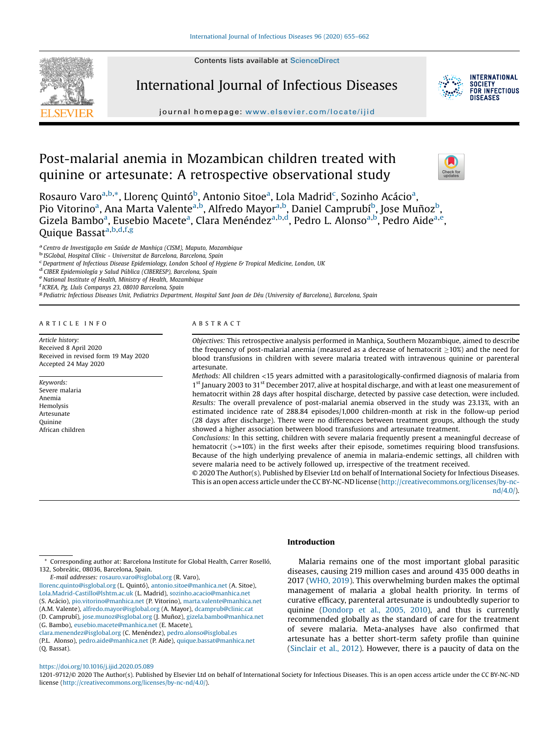Contents lists available at [ScienceDirect](http://www.sciencedirect.com/science/journal/12019712)



International Journal of Infectious Diseases



**INTERNATIONAL SOCIETY** FOR INFECTIOUS DISFASES

journal homepage: <www.elsevier.com/locate/ijid>

# Post-malarial anemia in Mozambican children treated with quinine or artesunate: A retrospective observational study



Rosauro Varo<sup>a,b,</sup>\*, Llorenç Quintó<sup>b</sup>, Antonio Sitoe<sup>a</sup>, Lola Madrid<sup>c</sup>, Sozinho Acácio<sup>a</sup>, Pio Vitorino<sup>a</sup>, Ana Marta Valente<sup>a,b</sup>, Alfredo Mayor<sup>a,b</sup>, Daniel Camprubí<sup>b</sup>, Jose Muñoz<sup>b</sup>, Gizela Bambo<sup>a</sup>, Eusebio Macete<sup>a</sup>, Clara Menéndez<sup>a,b,d</sup>, Pedro L. Alonso<sup>a,b</sup>, Pedro Aide<sup>a,e</sup>, Quique Bassata, b, d, f, g

a Centro de Investigação em Saúde de Manhiça (CISM), Maputo, Mozambique b ISGlobal, Hospital Clínic - Universitat de Barcelona, Barcelona, Spain

 $^{\rm c}$ Department of Infectious Disease Epidemiology, London School of Hygiene & Tropical Medicine, London, UK at CIBER Epidemiología y Salud Pública (CIBERESP), Barcelona, Spain  $^{\rm e}$  National Institute of Health, Mini

<sup>g</sup> Pediatric Infectious Diseases Unit, Pediatrics Department, Hospital Sant Joan de Déu (University of Barcelona), Barcelona, Spain

#### A R T I C L E I N F O

Article history: Received 8 April 2020 Received in revised form 19 May 2020 Accepted 24 May 2020

Keywords: Severe malaria Anemia Hemolysis Artesunate **Ouinine** African children

#### A B S T R A C T

Objectives: This retrospective analysis performed in Manhiça, Southern Mozambique, aimed to describe the frequency of post-malarial anemia (measured as a decrease of hematocrit  $>10\%$ ) and the need for blood transfusions in children with severe malaria treated with intravenous quinine or parenteral artesunate.

Methods: All children <15 years admitted with a parasitologically-confirmed diagnosis of malaria from 1<sup>st</sup> January 2003 to 31<sup>st</sup> December 2017, alive at hospital discharge, and with at least one measurement of hematocrit within 28 days after hospital discharge, detected by passive case detection, were included. Results: The overall prevalence of post-malarial anemia observed in the study was 23.13%, with an estimated incidence rate of 288.84 episodes/1,000 children-month at risk in the follow-up period (28 days after discharge). There were no differences between treatment groups, although the study showed a higher association between blood transfusions and artesunate treatment.

Conclusions: In this setting, children with severe malaria frequently present a meaningful decrease of hematocrit ( $> = 10\%$ ) in the first weeks after their episode, sometimes requiring blood transfusions. Because of the high underlying prevalence of anemia in malaria-endemic settings, all children with severe malaria need to be actively followed up, irrespective of the treatment received.

© 2020 The Author(s). Published by Elsevier Ltd on behalf of International Society for Infectious Diseases. This is an open access article under the CC BY-NC-ND license ([http://creativecommons.org/licenses/by-nc](http://creativecommons.org/licenses/by-nc-nd/4.0/) $nd/4.0/$ ).

E-mail addresses: [rosauro.varo@isglobal.org](mailto:rosauro.varo@isglobal.org) (R. Varo),

[llorenc.quinto@isglobal.org](mailto:llorenc.quinto@isglobal.org) (L. Quintó), [antonio.sitoe@manhica.net](mailto:antonio.sitoe@manhica.net) (A. Sitoe), [Lola.Madrid-Castillo@lshtm.ac.uk](mailto:Lola.Madrid-Castillo@lshtm.ac.uk) (L. Madrid), [sozinho.acacio@manhica.net](mailto:sozinho.acacio@manhica.net)

(S. Acácio), [pio.vitorino@manhica.net](mailto:pio.vitorino@manhica.net) (P. Vitorino), [marta.valente@manhica.net](mailto:marta.valente@manhica.net)

(A.M. Valente), [alfredo.mayor@isglobal.org](mailto:alfredo.mayor@isglobal.org) (A. Mayor), [dcamprub@clinic.cat](mailto:dcamprub@clinic.cat)

# Introduction

Malaria remains one of the most important global parasitic diseases, causing 219 million cases and around 435 000 deaths in 2017 [\(WHO,](#page-7-0) 2019). This overwhelming burden makes the optimal management of malaria a global health priority. In terms of curative efficacy, parenteral artesunate is undoubtedly superior to quinine [\(Dondorp](#page-6-0) et al., 2005, 2010), and thus is currently recommended globally as the standard of care for the treatment of severe malaria. Meta-analyses have also confirmed that artesunate has a better short-term safety profile than quinine ([Sinclair](#page-7-0) et al., 2012). However, there is a paucity of data on the

## <https://doi.org/10.1016/j.ijid.2020.05.089>

1201-9712/© 2020 The Author(s). Published by Elsevier Ltd on behalf of International Society for Infectious Diseases. This is an open access article under the CC BY-NC-ND license [\(http://creativecommons.org/licenses/by-nc-nd/4.0/\)](http://creativecommons.org/licenses/by-nc-nd/4.0/).

<sup>\*</sup> Corresponding author at: Barcelona Institute for Global Health, Carrer Roselló, 132, Sobreátic, 08036, Barcelona, Spain.

<sup>(</sup>D. Camprubí), [jose.munoz@isglobal.org](mailto:jose.munoz@isglobal.org) (J. Muñoz), [gizela.bambo@manhica.net](mailto:gizela.bambo@manhica.net) (G. Bambo), [eusebio.macete@manhica.net](mailto:eusebio.macete@manhica.net) (E. Macete),

[clara.menendez@isglobal.org](mailto:clara.menendez@isglobal.org) (C. Menéndez), [pedro.alonso@isglobal.es](mailto:pedro.alonso@isglobal.es)

<sup>(</sup>P.L. Alonso), [pedro.aide@manhica.net](mailto:pedro.aide@manhica.net) (P. Aide), [quique.bassat@manhica.net](mailto:quique.bassat@manhica.net) (Q. Bassat).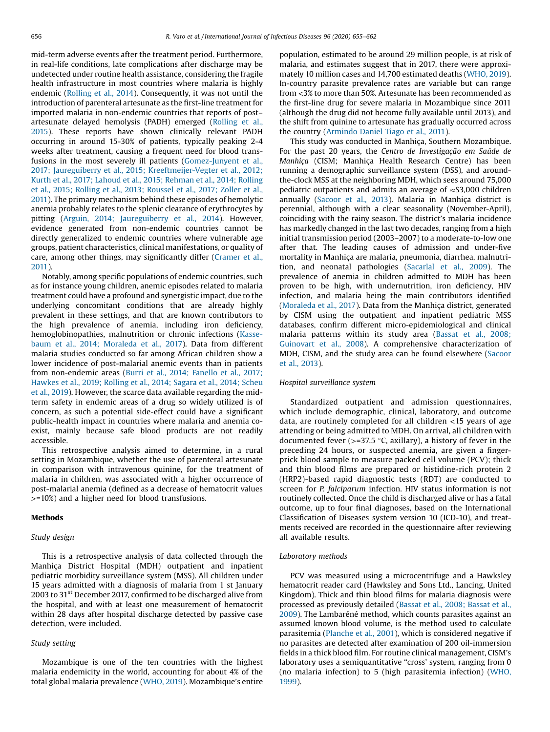mid-term adverse events after the treatment period. Furthermore, in real-life conditions, late complications after discharge may be undetected under routine health assistance, considering the fragile health infrastructure in most countries where malaria is highly endemic ([Rolling](#page-7-0) et al., 2014). Consequently, it was not until the introduction of parenteral artesunate as the first-line treatment for imported malaria in non-endemic countries that reports of post– artesunate delayed hemolysis (PADH) emerged ([Rolling](#page-7-0) et al., [2015](#page-7-0)). These reports have shown clinically relevant PADH occurring in around 15-30% of patients, typically peaking 2-4 weeks after treatment, causing a frequent need for blood trans-fusions in the most severely ill patients ([Gomez-Junyent](#page-6-0) et al., 2017; Jaureguiberry et al., 2015; [Kreeftmeijer-Vegter](#page-6-0) et al., 2012; Kurth et al., 2017; Lahoud et al., 2015; [Rehman](#page-6-0) et al., 2014; Rolling et al., 2015; Rolling et al., 2013; [Roussel](#page-6-0) et al., 2017; Zoller et al., [2011\)](#page-6-0). The primary mechanism behind these episodes of hemolytic anemia probably relates to the splenic clearance of erythrocytes by pitting (Arguin, 2014; [Jaureguiberry](#page-6-0) et al., 2014). However, evidence generated from non-endemic countries cannot be directly generalized to endemic countries where vulnerable age groups, patient characteristics, clinical manifestations, or quality of care, among other things, may significantly differ [\(Cramer](#page-6-0) et al., [2011](#page-6-0)).

Notably, among specific populations of endemic countries, such as for instance young children, anemic episodes related to malaria treatment could have a profound and synergistic impact, due to the underlying concomitant conditions that are already highly prevalent in these settings, and that are known contributors to the high prevalence of anemia, including iron deficiency, hemoglobinopathies, malnutrition or chronic infections ([Kasse](#page-6-0)baum et al., 2014; [Moraleda](#page-6-0) et al., 2017). Data from different malaria studies conducted so far among African children show a lower incidence of post-malarial anemic events than in patients from non-endemic areas (Burri et al., 2014; [Fanello](#page-6-0) et al., 2017; [Hawkes](#page-6-0) et al., 2019; Rolling et al., 2014; Sagara et al., 2014; Scheu et al., [2019](#page-6-0)). However, the scarce data available regarding the midterm safety in endemic areas of a drug so widely utilized is of concern, as such a potential side-effect could have a significant public-health impact in countries where malaria and anemia coexist, mainly because safe blood products are not readily accessible.

This retrospective analysis aimed to determine, in a rural setting in Mozambique, whether the use of parenteral artesunate in comparison with intravenous quinine, for the treatment of malaria in children, was associated with a higher occurrence of post-malarial anemia (defined as a decrease of hematocrit values >=10%) and a higher need for blood transfusions.

# Methods

## Study design

This is a retrospective analysis of data collected through the Manhiça District Hospital (MDH) outpatient and inpatient pediatric morbidity surveillance system (MSS). All children under 15 years admitted with a diagnosis of malaria from 1 st January 2003 to  $31<sup>st</sup>$  December 2017, confirmed to be discharged alive from the hospital, and with at least one measurement of hematocrit within 28 days after hospital discharge detected by passive case detection, were included.

#### Study setting

Mozambique is one of the ten countries with the highest malaria endemicity in the world, accounting for about 4% of the total global malaria prevalence ([WHO,](#page-7-0) 2019). Mozambique's entire population, estimated to be around 29 million people, is at risk of malaria, and estimates suggest that in 2017, there were approximately 10 million cases and 14,700 estimated deaths ([WHO,](#page-7-0) 2019). In-country parasite prevalence rates are variable but can range from <3% to more than 50%. Artesunate has been recommended as the first-line drug for severe malaria in Mozambique since 2011 (although the drug did not become fully available until 2013), and the shift from quinine to artesunate has gradually occurred across the country [\(Armindo](#page-6-0) Daniel Tiago et al., 2011).

This study was conducted in Manhiça, Southern Mozambique. For the past 20 years, the Centro de Investigação em Saúde de Manhiça (CISM; Manhiça Health Research Centre) has been running a demographic surveillance system (DSS), and aroundthe-clock MSS at the neighboring MDH, which sees around 75,000 pediatric outpatients and admits an average of  $\approx$ S3,000 children annually ([Sacoor](#page-7-0) et al., 2013). Malaria in Manhiça district is perennial, although with a clear seasonality (November-April), coinciding with the rainy season. The district's malaria incidence has markedly changed in the last two decades, ranging from a high initial transmission period (2003–2007) to a moderate-to-low one after that. The leading causes of admission and under-five mortality in Manhiça are malaria, pneumonia, diarrhea, malnutrition, and neonatal pathologies [\(Sacarlal](#page-7-0) et al., 2009). The prevalence of anemia in children admitted to MDH has been proven to be high, with undernutrition, iron deficiency, HIV infection, and malaria being the main contributors identified ([Moraleda](#page-6-0) et al., 2017). Data from the Manhiça district, generated by CISM using the outpatient and inpatient pediatric MSS databases, confirm different micro-epidemiological and clinical malaria patterns within its study area [\(Bassat](#page-6-0) et al., 2008; [Guinovart](#page-6-0) et al., 2008). A comprehensive characterization of MDH, CISM, and the study area can be found elsewhere [\(Sacoor](#page-7-0) et al., [2013\)](#page-7-0).

## Hospital surveillance system

Standardized outpatient and admission questionnaires, which include demographic, clinical, laboratory, and outcome data, are routinely completed for all children <15 years of age attending or being admitted to MDH. On arrival, all children with documented fever ( $> = 37.5$  °C, axillary), a history of fever in the preceding 24 hours, or suspected anemia, are given a fingerprick blood sample to measure packed cell volume (PCV); thick and thin blood films are prepared or histidine-rich protein 2 (HRP2)-based rapid diagnostic tests (RDT) are conducted to screen for P. falciparum infection. HIV status information is not routinely collected. Once the child is discharged alive or has a fatal outcome, up to four final diagnoses, based on the International Classification of Diseases system version 10 (ICD-10), and treatments received are recorded in the questionnaire after reviewing all available results.

#### Laboratory methods

PCV was measured using a microcentrifuge and a Hawksley hematocrit reader card (Hawksley and Sons Ltd., Lancing, United Kingdom). Thick and thin blood films for malaria diagnosis were processed as previously detailed [\(Bassat](#page-6-0) et al., 2008; Bassat et al., [2009](#page-6-0)). The Lambaréné method, which counts parasites against an assumed known blood volume, is the method used to calculate parasitemia [\(Planche](#page-7-0) et al., 2001), which is considered negative if no parasites are detected after examination of 200 oil-immersion fields in a thick blood film. For routine clinical management, CISM's laboratory uses a semiquantitative "cross' system, ranging from 0 (no malaria infection) to 5 (high parasitemia infection) [\(WHO,](#page-7-0) [1999](#page-7-0)).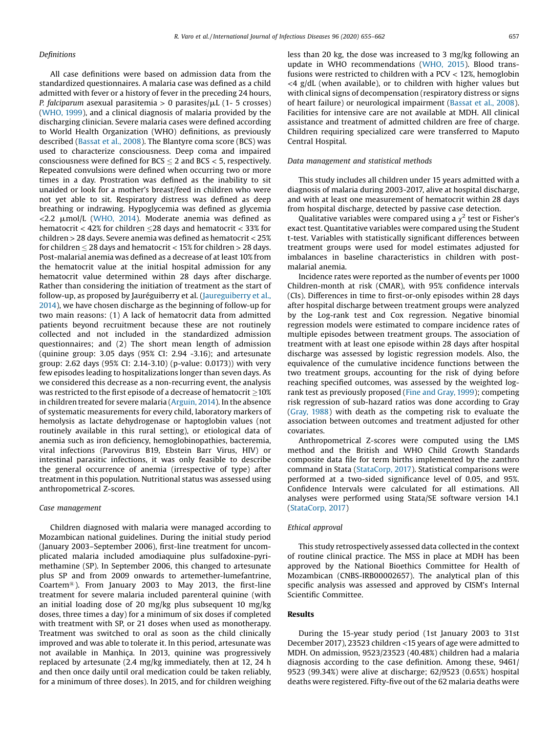## Definitions

R. Varo et al./International Journal of Infectious Diseases 96 (2020) 655-662 657

All case definitions were based on admission data from the standardized questionnaires. A malaria case was defined as a child admitted with fever or a history of fever in the preceding 24 hours, P. falciparum asexual parasitemia > 0 parasites/ $\mu$ L (1- 5 crosses) ([WHO,](#page-7-0) 1999), and a clinical diagnosis of malaria provided by the discharging clinician. Severe malaria cases were defined according to World Health Organization (WHO) definitions, as previously described ([Bassat](#page-6-0) et al., 2008). The Blantyre coma score (BCS) was used to characterize consciousness. Deep coma and impaired consciousness were defined for  $BCS \leq 2$  and  $BCS < 5$ , respectively. Repeated convulsions were defined when occurring two or more times in a day. Prostration was defined as the inability to sit unaided or look for a mother's breast/feed in children who were not yet able to sit. Respiratory distress was defined as deep breathing or indrawing. Hypoglycemia was defined as glycemia  $<$ 2.2  $\mu$ mol/L [\(WHO,](#page-7-0) 2014). Moderate anemia was defined as hematocrit  $<$  42% for children  $\leq$ 28 days and hematocrit  $<$  33% for children > 28 days. Severe anemia was defined as hematocrit < 25% for children  $\leq$  28 days and hematocrit  $<$  15% for children  $>$  28 days. Post-malarial anemia was defined as a decrease of at least 10% from the hematocrit value at the initial hospital admission for any hematocrit value determined within 28 days after discharge. Rather than considering the initiation of treatment as the start of follow-up, as proposed by Jauréguiberry et al. ([Jaureguiberry](#page-6-0) et al., [2014](#page-6-0)), we have chosen discharge as the beginning of follow-up for two main reasons: (1) A lack of hematocrit data from admitted patients beyond recruitment because these are not routinely collected and not included in the standardized admission questionnaires; and (2) The short mean length of admission (quinine group: 3.05 days (95% CI: 2.94 -3.16); and artesunate group: 2.62 days (95% CI: 2.14-3.10) (p-value: 0.0173)) with very few episodes leading to hospitalizations longer than seven days. As we considered this decrease as a non-recurring event, the analysis was restricted to the first episode of a decrease of hematocrit  $\geq$ 10% in children treated for severe malaria [\(Arguin,](#page-6-0) 2014). In the absence of systematic measurements for every child, laboratory markers of hemolysis as lactate dehydrogenase or haptoglobin values (not routinely available in this rural setting), or etiological data of anemia such as iron deficiency, hemoglobinopathies, bacteremia, viral infections (Parvovirus B19, Ebstein Barr Virus, HIV) or intestinal parasitic infections, it was only feasible to describe the general occurrence of anemia (irrespective of type) after treatment in this population. Nutritional status was assessed using anthropometrical Z-scores.

## Case management

Children diagnosed with malaria were managed according to Mozambican national guidelines. During the initial study period (January 2003–September 2006), first-line treatment for uncomplicated malaria included amodiaquine plus sulfadoxine-pyrimethamine (SP). In September 2006, this changed to artesunate plus SP and from 2009 onwards to artemether-lumefantrine, Coartem®). From January 2003 to May 2013, the first-line treatment for severe malaria included parenteral quinine (with an initial loading dose of 20 mg/kg plus subsequent 10 mg/kg doses, three times a day) for a minimum of six doses if completed with treatment with SP, or 21 doses when used as monotherapy. Treatment was switched to oral as soon as the child clinically improved and was able to tolerate it. In this period, artesunate was not available in Manhiça. In 2013, quinine was progressively replaced by artesunate (2.4 mg/kg immediately, then at 12, 24 h and then once daily until oral medication could be taken reliably, for a minimum of three doses). In 2015, and for children weighing less than 20 kg, the dose was increased to 3 mg/kg following an update in WHO recommendations [\(WHO,](#page-7-0) 2015). Blood transfusions were restricted to children with a PCV < 12%, hemoglobin  $\langle 4 \text{ g/dL}$  (when available), or to children with higher values but with clinical signs of decompensation (respiratory distress or signs of heart failure) or neurological impairment [\(Bassat](#page-6-0) et al., 2008). Facilities for intensive care are not available at MDH. All clinical assistance and treatment of admitted children are free of charge. Children requiring specialized care were transferred to Maputo Central Hospital.

## Data management and statistical methods

This study includes all children under 15 years admitted with a diagnosis of malaria during 2003-2017, alive at hospital discharge, and with at least one measurement of hematocrit within 28 days from hospital discharge, detected by passive case detection.

Qualitative variables were compared using a  $\chi^2$  test or Fisher's exact test. Quantitative variables were compared using the Student t-test. Variables with statistically significant differences between treatment groups were used for model estimates adjusted for imbalances in baseline characteristics in children with postmalarial anemia.

Incidence rates were reported as the number of events per 1000 Children-month at risk (CMAR), with 95% confidence intervals (CIs). Differences in time to first-or-only episodes within 28 days after hospital discharge between treatment groups were analyzed by the Log-rank test and Cox regression. Negative binomial regression models were estimated to compare incidence rates of multiple episodes between treatment groups. The association of treatment with at least one episode within 28 days after hospital discharge was assessed by logistic regression models. Also, the equivalence of the cumulative incidence functions between the two treatment groups, accounting for the risk of dying before reaching specified outcomes, was assessed by the weighted logrank test as previously proposed (Fine and [Gray,](#page-6-0) 1999); competing risk regression of sub-hazard ratios was done according to Gray ([Gray,](#page-6-0) 1988) with death as the competing risk to evaluate the association between outcomes and treatment adjusted for other covariates.

Anthropometrical Z-scores were computed using the LMS method and the British and WHO Child Growth Standards composite data file for term births implemented by the zanthro command in Stata [\(StataCorp,](#page-7-0) 2017). Statistical comparisons were performed at a two-sided significance level of 0.05, and 95%. Confidence Intervals were calculated for all estimations. All analyses were performed using Stata/SE software version 14.1 ([StataCorp,](#page-7-0) 2017)

## Ethical approval

This study retrospectively assessed data collected in the context of routine clinical practice. The MSS in place at MDH has been approved by the National Bioethics Committee for Health of Mozambican (CNBS-IRB00002657). The analytical plan of this specific analysis was assessed and approved by CISM's Internal Scientific Committee.

## Results

During the 15-year study period (1st January 2003 to 31st December 2017), 23523 children <15 years of age were admitted to MDH. On admission, 9523/23523 (40.48%) children had a malaria diagnosis according to the case definition. Among these, 9461/ 9523 (99.34%) were alive at discharge; 62/9523 (0.65%) hospital deaths were registered. Fifty-five out of the 62 malaria deaths were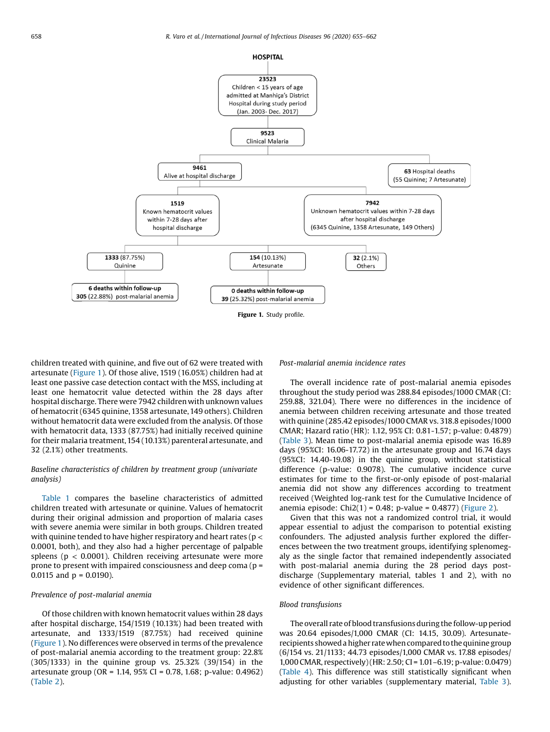

Figure 1. Study profile.

children treated with quinine, and five out of 62 were treated with artesunate (Figure 1). Of those alive, 1519 (16.05%) children had at least one passive case detection contact with the MSS, including at least one hematocrit value detected within the 28 days after hospital discharge. There were 7942 children with unknown values of hematocrit (6345 quinine, 1358 artesunate, 149 others). Children without hematocrit data were excluded from the analysis. Of those with hematocrit data, 1333 (87.75%) had initially received quinine for their malaria treatment, 154 (10.13%) parenteral artesunate, and 32 (2.1%) other treatments.

# Baseline characteristics of children by treatment group (univariate analysis)

[Table](#page-4-0) 1 compares the baseline characteristics of admitted children treated with artesunate or quinine. Values of hematocrit during their original admission and proportion of malaria cases with severe anemia were similar in both groups. Children treated with quinine tended to have higher respiratory and heart rates ( $p <$ 0.0001, both), and they also had a higher percentage of palpable spleens ( $p < 0.0001$ ). Children receiving artesunate were more prone to present with impaired consciousness and deep coma (p = 0.0115 and  $p = 0.0190$ ).

#### Prevalence of post-malarial anemia

Of those children with known hematocrit values within 28 days after hospital discharge, 154/1519 (10.13%) had been treated with artesunate, and 1333/1519 (87.75%) had received quinine (Figure 1). No differences were observed in terms of the prevalence of post-malarial anemia according to the treatment group: 22.8% (305/1333) in the quinine group vs. 25.32% (39/154) in the artesunate group (OR = 1.14, 95% CI = 0.78, 1.68; p-value: 0.4962) ([Table](#page-4-0) 2).

## Post-malarial anemia incidence rates

The overall incidence rate of post-malarial anemia episodes throughout the study period was 288.84 episodes/1000 CMAR (CI: 259.88, 321.04). There were no differences in the incidence of anemia between children receiving artesunate and those treated with quinine (285.42 episodes/1000 CMAR vs. 318.8 episodes/1000 CMAR; Hazard ratio (HR): 1.12, 95% CI: 0.81-1.57; p-value: 0.4879) ([Table](#page-4-0) 3). Mean time to post-malarial anemia episode was 16.89 days (95%CI: 16.06-17.72) in the artesunate group and 16.74 days (95%CI: 14.40-19.08) in the quinine group, without statistical difference (p-value: 0.9078). The cumulative incidence curve estimates for time to the first-or-only episode of post-malarial anemia did not show any differences according to treatment received (Weighted log-rank test for the Cumulative Incidence of anemia episode: Chi2(1) =  $0.48$ ; p-value =  $0.4877$ ) ([Figure](#page-5-0) 2).

Given that this was not a randomized control trial, it would appear essential to adjust the comparison to potential existing confounders. The adjusted analysis further explored the differences between the two treatment groups, identifying splenomegaly as the single factor that remained independently associated with post-malarial anemia during the 28 period days postdischarge (Supplementary material, tables 1 and 2), with no evidence of other significant differences.

#### Blood transfusions

The overall rate of blood transfusions during the follow-up period was 20.64 episodes/1,000 CMAR (CI: 14.15, 30.09). Artesunaterecipients showed a higher rate when compared to the quinine group (6/154 vs. 21/1133; 44.73 episodes/1,000 CMAR vs. 17.88 episodes/ 1,000 CMAR, respectively)(HR: 2.50; CI = 1.01–6.19; p-value: 0.0479) ([Table](#page-5-0) 4). This difference was still statistically significant when adjusting for other variables (supplementary material, [Table](#page-4-0) 3).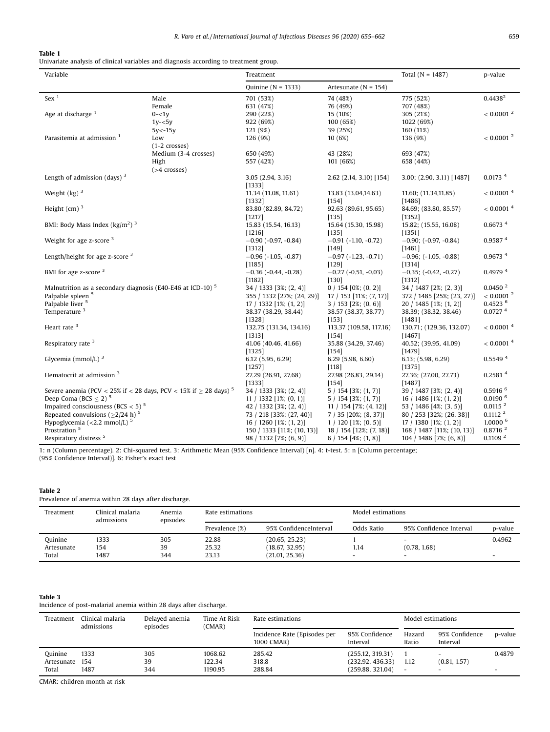## <span id="page-4-0"></span>Table 1

 $\overline{a}$ 

Univariate analysis of clinical variables and diagnosis according to treatment group.

| Quinine ( $N = 1333$ )<br>Artesunate ( $N = 154$ )<br>Sex <sup>1</sup><br>$0.4438^2$<br>Male<br>701 (53%)<br>74 (48%)<br>775 (52%)<br>Female<br>631 (47%)<br>76 (49%)<br>707 (48%)<br>$< 0.0001$ <sup>2</sup><br>Age at discharge <sup>1</sup><br>$0 - 1y$<br>290 (22%)<br>15 (10%)<br>305 (21%)<br>922 (69%)<br>100 (65%)<br>1022 (69%)<br>$1y - 5y$<br>121 (9%)<br>39 (25%)<br>160 (11%)<br>5y<-15y<br>$< 0.0001$ <sup>2</sup><br>Parasitemia at admission 1<br>10(6%)<br>Low<br>126 (9%)<br>136 (9%)<br>$(1-2$ crosses)<br>Medium (3-4 crosses)<br>650 (49%)<br>43 (28%)<br>693 (47%)<br>557 (42%)<br>101 (66%)<br>High<br>658 (44%)<br>$($ >4 crosses)<br>Length of admission (days) $3$<br>0.0173 <sup>4</sup><br>3.00; (2.90, 3.11) [1487]<br>3.05(2.94, 3.16)<br>$2.62$ (2.14, 3.10) [154]<br>[1333]<br>$<$ 0.0001 $^4\,$<br>Weight $(kg)^3$<br>11.34 (11.08, 11.61)<br>13.83 (13.04,14.63)<br>11.60; (11.34,11.85)<br>[1332]<br>$[154]$<br>[1486]<br>Height (cm) $3$<br>< 0.0001 <sup>4</sup><br>84.69; (83.80, 85.57)<br>83.80 (82.89, 84.72)<br>92.63 (89.61, 95.65)<br>[1217]<br>[135]<br>[1352]<br>BMI: Body Mass Index ( $\text{kg/m}^2$ ) <sup>3</sup><br>0.6673 <sup>4</sup><br>15.83 (15.54, 16.13)<br>15.64 (15.30, 15.98)<br>15.82; (15.55, 16.08)<br>[1216]<br>[135]<br>[1351]<br>Weight for age $z$ -score $3$<br>0.95874<br>$-0.90; (-0.97, -0.84)$<br>$-0.90$ ( $-0.97$ , $-0.84$ )<br>$-0.91$ (-1.10, -0.72)<br>[1312]<br>[149]<br>[1461]<br>Length/height for age z-score <sup>3</sup><br>0.9673 4<br>$-0.96$ ( $-1.05$ , $-0.87$ )<br>$-0.97$ (-1.23, -0.71)<br>$-0.96; (-1.05, -0.88)$<br>[1185]<br>$[129]$<br>[1314]<br>BMI for age z-score <sup>3</sup><br>0.4979 4<br>$-0.36$ ( $-0.44$ , $-0.28$ )<br>$-0.27$ ( $-0.51$ , $-0.03$ )<br>$-0.35$ ; ( $-0.42$ , $-0.27$ )<br>[1182]<br>[130]<br>[1312]<br>Malnutrition as a secondary diagnosis (E40-E46 at ICD-10) <sup>5</sup><br>0.0450 <sup>2</sup><br>34 / 1333 [3%; (2, 4)]<br>$0/154$ [0%; (0, 2)]<br>34 / 1487 [2%; (2, 3)]<br>< 0.0001 <sup>2</sup><br>Palpable spleen <sup>5</sup><br>355 / 1332 [27%; (24, 29)]<br>$17/153$ [11%; (7, 17)]<br>372 / 1485 [25%; (23, 27)] |
|----------------------------------------------------------------------------------------------------------------------------------------------------------------------------------------------------------------------------------------------------------------------------------------------------------------------------------------------------------------------------------------------------------------------------------------------------------------------------------------------------------------------------------------------------------------------------------------------------------------------------------------------------------------------------------------------------------------------------------------------------------------------------------------------------------------------------------------------------------------------------------------------------------------------------------------------------------------------------------------------------------------------------------------------------------------------------------------------------------------------------------------------------------------------------------------------------------------------------------------------------------------------------------------------------------------------------------------------------------------------------------------------------------------------------------------------------------------------------------------------------------------------------------------------------------------------------------------------------------------------------------------------------------------------------------------------------------------------------------------------------------------------------------------------------------------------------------------------------------------------------------------------------------------------------------------------------------------------------------------------------------------------------------------------------------------------------------------------------------------------------------------------------------------|
|                                                                                                                                                                                                                                                                                                                                                                                                                                                                                                                                                                                                                                                                                                                                                                                                                                                                                                                                                                                                                                                                                                                                                                                                                                                                                                                                                                                                                                                                                                                                                                                                                                                                                                                                                                                                                                                                                                                                                                                                                                                                                                                                                                |
|                                                                                                                                                                                                                                                                                                                                                                                                                                                                                                                                                                                                                                                                                                                                                                                                                                                                                                                                                                                                                                                                                                                                                                                                                                                                                                                                                                                                                                                                                                                                                                                                                                                                                                                                                                                                                                                                                                                                                                                                                                                                                                                                                                |
|                                                                                                                                                                                                                                                                                                                                                                                                                                                                                                                                                                                                                                                                                                                                                                                                                                                                                                                                                                                                                                                                                                                                                                                                                                                                                                                                                                                                                                                                                                                                                                                                                                                                                                                                                                                                                                                                                                                                                                                                                                                                                                                                                                |
|                                                                                                                                                                                                                                                                                                                                                                                                                                                                                                                                                                                                                                                                                                                                                                                                                                                                                                                                                                                                                                                                                                                                                                                                                                                                                                                                                                                                                                                                                                                                                                                                                                                                                                                                                                                                                                                                                                                                                                                                                                                                                                                                                                |
|                                                                                                                                                                                                                                                                                                                                                                                                                                                                                                                                                                                                                                                                                                                                                                                                                                                                                                                                                                                                                                                                                                                                                                                                                                                                                                                                                                                                                                                                                                                                                                                                                                                                                                                                                                                                                                                                                                                                                                                                                                                                                                                                                                |
|                                                                                                                                                                                                                                                                                                                                                                                                                                                                                                                                                                                                                                                                                                                                                                                                                                                                                                                                                                                                                                                                                                                                                                                                                                                                                                                                                                                                                                                                                                                                                                                                                                                                                                                                                                                                                                                                                                                                                                                                                                                                                                                                                                |
|                                                                                                                                                                                                                                                                                                                                                                                                                                                                                                                                                                                                                                                                                                                                                                                                                                                                                                                                                                                                                                                                                                                                                                                                                                                                                                                                                                                                                                                                                                                                                                                                                                                                                                                                                                                                                                                                                                                                                                                                                                                                                                                                                                |
|                                                                                                                                                                                                                                                                                                                                                                                                                                                                                                                                                                                                                                                                                                                                                                                                                                                                                                                                                                                                                                                                                                                                                                                                                                                                                                                                                                                                                                                                                                                                                                                                                                                                                                                                                                                                                                                                                                                                                                                                                                                                                                                                                                |
|                                                                                                                                                                                                                                                                                                                                                                                                                                                                                                                                                                                                                                                                                                                                                                                                                                                                                                                                                                                                                                                                                                                                                                                                                                                                                                                                                                                                                                                                                                                                                                                                                                                                                                                                                                                                                                                                                                                                                                                                                                                                                                                                                                |
|                                                                                                                                                                                                                                                                                                                                                                                                                                                                                                                                                                                                                                                                                                                                                                                                                                                                                                                                                                                                                                                                                                                                                                                                                                                                                                                                                                                                                                                                                                                                                                                                                                                                                                                                                                                                                                                                                                                                                                                                                                                                                                                                                                |
|                                                                                                                                                                                                                                                                                                                                                                                                                                                                                                                                                                                                                                                                                                                                                                                                                                                                                                                                                                                                                                                                                                                                                                                                                                                                                                                                                                                                                                                                                                                                                                                                                                                                                                                                                                                                                                                                                                                                                                                                                                                                                                                                                                |
|                                                                                                                                                                                                                                                                                                                                                                                                                                                                                                                                                                                                                                                                                                                                                                                                                                                                                                                                                                                                                                                                                                                                                                                                                                                                                                                                                                                                                                                                                                                                                                                                                                                                                                                                                                                                                                                                                                                                                                                                                                                                                                                                                                |
|                                                                                                                                                                                                                                                                                                                                                                                                                                                                                                                                                                                                                                                                                                                                                                                                                                                                                                                                                                                                                                                                                                                                                                                                                                                                                                                                                                                                                                                                                                                                                                                                                                                                                                                                                                                                                                                                                                                                                                                                                                                                                                                                                                |
|                                                                                                                                                                                                                                                                                                                                                                                                                                                                                                                                                                                                                                                                                                                                                                                                                                                                                                                                                                                                                                                                                                                                                                                                                                                                                                                                                                                                                                                                                                                                                                                                                                                                                                                                                                                                                                                                                                                                                                                                                                                                                                                                                                |
|                                                                                                                                                                                                                                                                                                                                                                                                                                                                                                                                                                                                                                                                                                                                                                                                                                                                                                                                                                                                                                                                                                                                                                                                                                                                                                                                                                                                                                                                                                                                                                                                                                                                                                                                                                                                                                                                                                                                                                                                                                                                                                                                                                |
|                                                                                                                                                                                                                                                                                                                                                                                                                                                                                                                                                                                                                                                                                                                                                                                                                                                                                                                                                                                                                                                                                                                                                                                                                                                                                                                                                                                                                                                                                                                                                                                                                                                                                                                                                                                                                                                                                                                                                                                                                                                                                                                                                                |
|                                                                                                                                                                                                                                                                                                                                                                                                                                                                                                                                                                                                                                                                                                                                                                                                                                                                                                                                                                                                                                                                                                                                                                                                                                                                                                                                                                                                                                                                                                                                                                                                                                                                                                                                                                                                                                                                                                                                                                                                                                                                                                                                                                |
|                                                                                                                                                                                                                                                                                                                                                                                                                                                                                                                                                                                                                                                                                                                                                                                                                                                                                                                                                                                                                                                                                                                                                                                                                                                                                                                                                                                                                                                                                                                                                                                                                                                                                                                                                                                                                                                                                                                                                                                                                                                                                                                                                                |
|                                                                                                                                                                                                                                                                                                                                                                                                                                                                                                                                                                                                                                                                                                                                                                                                                                                                                                                                                                                                                                                                                                                                                                                                                                                                                                                                                                                                                                                                                                                                                                                                                                                                                                                                                                                                                                                                                                                                                                                                                                                                                                                                                                |
|                                                                                                                                                                                                                                                                                                                                                                                                                                                                                                                                                                                                                                                                                                                                                                                                                                                                                                                                                                                                                                                                                                                                                                                                                                                                                                                                                                                                                                                                                                                                                                                                                                                                                                                                                                                                                                                                                                                                                                                                                                                                                                                                                                |
|                                                                                                                                                                                                                                                                                                                                                                                                                                                                                                                                                                                                                                                                                                                                                                                                                                                                                                                                                                                                                                                                                                                                                                                                                                                                                                                                                                                                                                                                                                                                                                                                                                                                                                                                                                                                                                                                                                                                                                                                                                                                                                                                                                |
|                                                                                                                                                                                                                                                                                                                                                                                                                                                                                                                                                                                                                                                                                                                                                                                                                                                                                                                                                                                                                                                                                                                                                                                                                                                                                                                                                                                                                                                                                                                                                                                                                                                                                                                                                                                                                                                                                                                                                                                                                                                                                                                                                                |
|                                                                                                                                                                                                                                                                                                                                                                                                                                                                                                                                                                                                                                                                                                                                                                                                                                                                                                                                                                                                                                                                                                                                                                                                                                                                                                                                                                                                                                                                                                                                                                                                                                                                                                                                                                                                                                                                                                                                                                                                                                                                                                                                                                |
|                                                                                                                                                                                                                                                                                                                                                                                                                                                                                                                                                                                                                                                                                                                                                                                                                                                                                                                                                                                                                                                                                                                                                                                                                                                                                                                                                                                                                                                                                                                                                                                                                                                                                                                                                                                                                                                                                                                                                                                                                                                                                                                                                                |
|                                                                                                                                                                                                                                                                                                                                                                                                                                                                                                                                                                                                                                                                                                                                                                                                                                                                                                                                                                                                                                                                                                                                                                                                                                                                                                                                                                                                                                                                                                                                                                                                                                                                                                                                                                                                                                                                                                                                                                                                                                                                                                                                                                |
|                                                                                                                                                                                                                                                                                                                                                                                                                                                                                                                                                                                                                                                                                                                                                                                                                                                                                                                                                                                                                                                                                                                                                                                                                                                                                                                                                                                                                                                                                                                                                                                                                                                                                                                                                                                                                                                                                                                                                                                                                                                                                                                                                                |
|                                                                                                                                                                                                                                                                                                                                                                                                                                                                                                                                                                                                                                                                                                                                                                                                                                                                                                                                                                                                                                                                                                                                                                                                                                                                                                                                                                                                                                                                                                                                                                                                                                                                                                                                                                                                                                                                                                                                                                                                                                                                                                                                                                |
| Palpable liver <sup>5</sup><br>$0.4523$ <sup>6</sup><br>20 / 1485 [1%; (1, 2)]<br>$17/1332$ [1%; (1, 2)]<br>$3/153$ [2%; (0, 6)]                                                                                                                                                                                                                                                                                                                                                                                                                                                                                                                                                                                                                                                                                                                                                                                                                                                                                                                                                                                                                                                                                                                                                                                                                                                                                                                                                                                                                                                                                                                                                                                                                                                                                                                                                                                                                                                                                                                                                                                                                               |
| Temperature <sup>3</sup><br>0.0727 <sup>4</sup><br>38.37 (38.29, 38.44)<br>38.57 (38.37, 38.77)<br>38.39; (38.32, 38.46)                                                                                                                                                                                                                                                                                                                                                                                                                                                                                                                                                                                                                                                                                                                                                                                                                                                                                                                                                                                                                                                                                                                                                                                                                                                                                                                                                                                                                                                                                                                                                                                                                                                                                                                                                                                                                                                                                                                                                                                                                                       |
| [1328]<br>$[153]$<br>[1481]                                                                                                                                                                                                                                                                                                                                                                                                                                                                                                                                                                                                                                                                                                                                                                                                                                                                                                                                                                                                                                                                                                                                                                                                                                                                                                                                                                                                                                                                                                                                                                                                                                                                                                                                                                                                                                                                                                                                                                                                                                                                                                                                    |
| Heart rate <sup>3</sup><br>< 0.0001 <sup>4</sup><br>130.71; (129.36, 132.07)<br>132.75 (131.34, 134.16)<br>113.37 (109.58, 117.16)                                                                                                                                                                                                                                                                                                                                                                                                                                                                                                                                                                                                                                                                                                                                                                                                                                                                                                                                                                                                                                                                                                                                                                                                                                                                                                                                                                                                                                                                                                                                                                                                                                                                                                                                                                                                                                                                                                                                                                                                                             |
| [1313]<br>$[154]$<br>[1467]                                                                                                                                                                                                                                                                                                                                                                                                                                                                                                                                                                                                                                                                                                                                                                                                                                                                                                                                                                                                                                                                                                                                                                                                                                                                                                                                                                                                                                                                                                                                                                                                                                                                                                                                                                                                                                                                                                                                                                                                                                                                                                                                    |
| Respiratory rate <sup>3</sup><br>< 0.0001 <sup>4</sup><br>41.06 (40.46, 41.66)<br>35.88 (34.29, 37.46)<br>40.52; (39.95, 41.09)                                                                                                                                                                                                                                                                                                                                                                                                                                                                                                                                                                                                                                                                                                                                                                                                                                                                                                                                                                                                                                                                                                                                                                                                                                                                                                                                                                                                                                                                                                                                                                                                                                                                                                                                                                                                                                                                                                                                                                                                                                |
| [1325]<br>[154]<br>[1479]                                                                                                                                                                                                                                                                                                                                                                                                                                                                                                                                                                                                                                                                                                                                                                                                                                                                                                                                                                                                                                                                                                                                                                                                                                                                                                                                                                                                                                                                                                                                                                                                                                                                                                                                                                                                                                                                                                                                                                                                                                                                                                                                      |
| Glycemia (mmol/L) $^3$<br>0.5549 <sup>4</sup><br>6.12 (5.95, 6.29)<br>6.29(5.98, 6.60)<br>$6.13$ ; $(5.98, 6.29)$                                                                                                                                                                                                                                                                                                                                                                                                                                                                                                                                                                                                                                                                                                                                                                                                                                                                                                                                                                                                                                                                                                                                                                                                                                                                                                                                                                                                                                                                                                                                                                                                                                                                                                                                                                                                                                                                                                                                                                                                                                              |
| $[118]$<br>[1375]<br>[1257]                                                                                                                                                                                                                                                                                                                                                                                                                                                                                                                                                                                                                                                                                                                                                                                                                                                                                                                                                                                                                                                                                                                                                                                                                                                                                                                                                                                                                                                                                                                                                                                                                                                                                                                                                                                                                                                                                                                                                                                                                                                                                                                                    |
| Hematocrit at admission <sup>3</sup><br>0.2581 <sup>4</sup><br>27.29 (26.91, 27.68)<br>27.36; (27.00, 27.73)<br>27.98 (26.83, 29.14)                                                                                                                                                                                                                                                                                                                                                                                                                                                                                                                                                                                                                                                                                                                                                                                                                                                                                                                                                                                                                                                                                                                                                                                                                                                                                                                                                                                                                                                                                                                                                                                                                                                                                                                                                                                                                                                                                                                                                                                                                           |
| [1333]<br>[154]<br>[1487]                                                                                                                                                                                                                                                                                                                                                                                                                                                                                                                                                                                                                                                                                                                                                                                                                                                                                                                                                                                                                                                                                                                                                                                                                                                                                                                                                                                                                                                                                                                                                                                                                                                                                                                                                                                                                                                                                                                                                                                                                                                                                                                                      |
| Severe anemia (PCV < 25% if < 28 days, PCV < 15% if $\geq$ 28 days) $^5$<br>$0.5916$ <sup>6</sup><br>34 / 1333 [3%; (2, 4)]<br>$5/154$ [3%; (1, 7)]<br>39 / 1487 [3%; (2, 4)]                                                                                                                                                                                                                                                                                                                                                                                                                                                                                                                                                                                                                                                                                                                                                                                                                                                                                                                                                                                                                                                                                                                                                                                                                                                                                                                                                                                                                                                                                                                                                                                                                                                                                                                                                                                                                                                                                                                                                                                  |
| Deep Coma (BCS $\leq$ 2) <sup>5</sup><br>$0.0190$ <sup>6</sup><br>11 / 1332 $[1\%; (0, 1)]$<br>$5/154$ [3%; (1, 7)]<br>$16/1486$ [1%; (1, 2)]                                                                                                                                                                                                                                                                                                                                                                                                                                                                                                                                                                                                                                                                                                                                                                                                                                                                                                                                                                                                                                                                                                                                                                                                                                                                                                                                                                                                                                                                                                                                                                                                                                                                                                                                                                                                                                                                                                                                                                                                                  |
| Impaired consciousness (BCS $<$ 5) <sup>5</sup><br>0.0115 <sup>2</sup><br>42 / 1332 [3%; (2, 4)]<br>$11 / 154$ [7%; (4, 12)]<br>53 / 1486 [4%; (3, 5)]                                                                                                                                                                                                                                                                                                                                                                                                                                                                                                                                                                                                                                                                                                                                                                                                                                                                                                                                                                                                                                                                                                                                                                                                                                                                                                                                                                                                                                                                                                                                                                                                                                                                                                                                                                                                                                                                                                                                                                                                         |
| Repeated convulsions ( $\geq$ 2/24 h) <sup>5</sup><br>0.1112 <sup>2</sup><br>73 / 218 [33%; (27, 40)]<br>$7/35$ [20%; (8, 37)]<br>80 / 253 [32%; (26, 38)]                                                                                                                                                                                                                                                                                                                                                                                                                                                                                                                                                                                                                                                                                                                                                                                                                                                                                                                                                                                                                                                                                                                                                                                                                                                                                                                                                                                                                                                                                                                                                                                                                                                                                                                                                                                                                                                                                                                                                                                                     |
| Hypoglycemia $\left($ <2.2 mmol/L) <sup>5</sup><br>$1,0000$ <sup>6</sup><br>$16/1260$ [1%; (1, 2)]<br>$1/120$ [1%; (0, 5)]<br>$17/1380$ [1%; (1, 2)]                                                                                                                                                                                                                                                                                                                                                                                                                                                                                                                                                                                                                                                                                                                                                                                                                                                                                                                                                                                                                                                                                                                                                                                                                                                                                                                                                                                                                                                                                                                                                                                                                                                                                                                                                                                                                                                                                                                                                                                                           |
| Prostration <sup>5</sup><br>0.8716 <sup>2</sup><br>150 / 1333 [11%; (10, 13)]<br>18 / 154 [12%; (7, 18)]<br>168 / 1487 [11%; (10, 13)]                                                                                                                                                                                                                                                                                                                                                                                                                                                                                                                                                                                                                                                                                                                                                                                                                                                                                                                                                                                                                                                                                                                                                                                                                                                                                                                                                                                                                                                                                                                                                                                                                                                                                                                                                                                                                                                                                                                                                                                                                         |
| Respiratory distress <sup>5</sup><br>0.1109 <sup>2</sup><br>$98 / 1332$ [7%; (6, 9)]<br>$6/154$ [4%; (1, 8)]<br>$104 / 1486$ [7%; (6, 8)]                                                                                                                                                                                                                                                                                                                                                                                                                                                                                                                                                                                                                                                                                                                                                                                                                                                                                                                                                                                                                                                                                                                                                                                                                                                                                                                                                                                                                                                                                                                                                                                                                                                                                                                                                                                                                                                                                                                                                                                                                      |

1: n (Column percentage). 2: Chi-squared test. 3: Arithmetic Mean (95% Confidence Interval) [n]. 4: t-test. 5: n [Column percentage; (95% Confidence Interval)]. 6: Fisher's exact test

# Table 2

Prevalence of anemia within 28 days after discharge.

| Treatment  | Clinical malaria<br>admissions | Anemia<br>episodes | Rate estimations |                        | Model estimations        |                          |         |  |
|------------|--------------------------------|--------------------|------------------|------------------------|--------------------------|--------------------------|---------|--|
|            |                                |                    | Prevalence (%)   | 95% ConfidenceInterval | Odds Ratio               | 95% Confidence Interval  | p-value |  |
| Quinine    | 1333                           | 305                | 22.88            | (20.65, 25.23)         |                          |                          | 0.4962  |  |
| Artesunate | 154                            | 39                 | 25.32            | (18.67, 32.95)         | 1.14                     | (0.78, 1.68)             |         |  |
| Total      | 1487                           | 344                | 23.13            | (21.01, 25.36)         | $\overline{\phantom{0}}$ | $\overline{\phantom{0}}$ |         |  |

# Table 3

Incidence of post-malarial anemia within 28 days after discharge.

| Treatment  | Clinical malaria<br>admissions | Delayed anemia<br>episodes | Time At Risk<br>(CMAR) | Rate estimations                           | Model estimations          |                          |                            |                          |
|------------|--------------------------------|----------------------------|------------------------|--------------------------------------------|----------------------------|--------------------------|----------------------------|--------------------------|
|            |                                |                            |                        | Incidence Rate (Episodes per<br>1000 CMAR) | 95% Confidence<br>Interval | Hazard<br>Ratio          | 95% Confidence<br>Interval | p-value                  |
| Ouinine    | 1333                           | 305                        | 1068.62                | 285.42                                     | (255.12, 319.31)           |                          | $\overline{\phantom{a}}$   | 0.4879                   |
| Artesunate | 154                            | 39                         | 122.34                 | 318.8                                      | (232.92, 436.33)           | 1.12                     | (0.81, 1.57)               |                          |
| Total      | 1487                           | 344                        | 1190.95                | 288.84                                     | (259.88, 321.04)           | $\overline{\phantom{0}}$ | $\overline{\phantom{a}}$   | $\overline{\phantom{a}}$ |

CMAR: children month at risk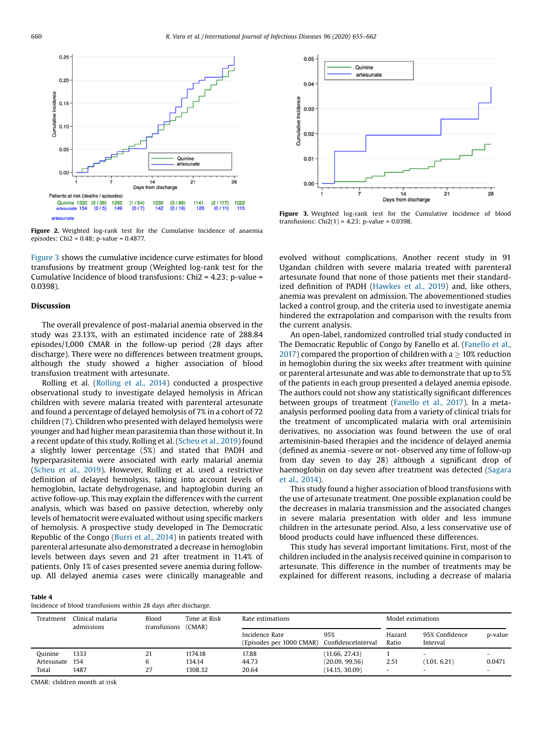<span id="page-5-0"></span>

Figure 2. Weighted log-rank test for the Cumulative Incidence of anaemia episodes: Chi2 = 0.48; p-value = 0.4877.

Figure 3 shows the cumulative incidence curve estimates for blood transfusions by treatment group (Weighted log-rank test for the Cumulative Incidence of blood transfusions: Chi2 = 4.23; p-value = 0.0398).

# Discussion

The overall prevalence of post-malarial anemia observed in the study was 23.13%, with an estimated incidence rate of 288.84 episodes/1,000 CMAR in the follow-up period (28 days after discharge). There were no differences between treatment groups, although the study showed a higher association of blood transfusion treatment with artesunate.

Rolling et al. [\(Rolling](#page-7-0) et al., 2014) conducted a prospective observational study to investigate delayed hemolysis in African children with severe malaria treated with parenteral artesunate and found a percentage of delayed hemolysis of 7% in a cohort of 72 children (7). Children who presented with delayed hemolysis were younger and had higher mean parasitemia than those without it. In a recent update of this study, Rolling et al. [\(Scheu](#page-7-0) et al., 2019) found a slightly lower percentage (5%) and stated that PADH and hyperparasitemia were associated with early malarial anemia ([Scheu](#page-7-0) et al., 2019). However, Rolling et al. used a restrictive definition of delayed hemolysis, taking into account levels of hemoglobin, lactate dehydrogenase, and haptoglobin during an active follow-up. This may explain the differences with the current analysis, which was based on passive detection, whereby only levels of hematocrit were evaluated without using specific markers of hemolysis. A prospective study developed in The Democratic Republic of the Congo ([Burri](#page-6-0) et al., 2014) in patients treated with parenteral artesunate also demonstrated a decrease in hemoglobin levels between days seven and 21 after treatment in 11.4% of patients. Only 1% of cases presented severe anemia during followup. All delayed anemia cases were clinically manageable and



Figure 3. Weighted log-rank test for the Cumulative Incidence of blood transfusions:  $Chi2(1) = 4.23$ ; p-value = 0.0398.

evolved without complications. Another recent study in 91 Ugandan children with severe malaria treated with parenteral artesunate found that none of those patients met their standardized definition of PADH ([Hawkes](#page-6-0) et al., 2019) and, like others, anemia was prevalent on admission. The abovementioned studies lacked a control group, and the criteria used to investigate anemia hindered the extrapolation and comparison with the results from the current analysis.

An open-label, randomized controlled trial study conducted in The Democratic Republic of Congo by Fanello et al. [\(Fanello](#page-6-0) et al., [2017](#page-6-0)) compared the proportion of children with a  $>$  10% reduction in hemoglobin during the six weeks after treatment with quinine or parenteral artesunate and was able to demonstrate that up to 5% of the patients in each group presented a delayed anemia episode. The authors could not show any statistically significant differences between groups of treatment ([Fanello](#page-6-0) et al., 2017). In a metaanalysis performed pooling data from a variety of clinical trials for the treatment of uncomplicated malaria with oral artemisinin derivatives, no association was found between the use of oral artemisinin-based therapies and the incidence of delayed anemia (defined as anemia -severe or not- observed any time of follow-up from day seven to day 28) although a significant drop of haemoglobin on day seven after treatment was detected ([Sagara](#page-7-0) et al., [2014\)](#page-7-0).

This study found a higher association of blood transfusions with the use of artesunate treatment. One possible explanation could be the decreases in malaria transmission and the associated changes in severe malaria presentation with older and less immune children in the artesunate period. Also, a less conservative use of blood products could have influenced these differences.

This study has several important limitations. First, most of the children included in the analysis received quinine in comparison to artesunate. This difference in the number of treatments may be explained for different reasons, including a decrease of malaria

#### Table 4

Incidence of blood transfusions within 28 days after discharge.

| Treatment  | Clinical malaria<br>admissions | Blood<br>transfusions | Time at Risk<br>(CMAR) | Rate estimations                           |                           | Model estimations        |                            |                          |  |
|------------|--------------------------------|-----------------------|------------------------|--------------------------------------------|---------------------------|--------------------------|----------------------------|--------------------------|--|
|            |                                |                       |                        | Incidence Rate<br>(Episodes per 1000 CMAR) | 95%<br>ConfidenceInterval | Hazard<br>Ratio          | 95% Confidence<br>Interval | p-value                  |  |
| Quinine    | 1333                           | 21                    | 1174.18                | 17.88                                      | (11.66, 27.43)            |                          | $\overline{\phantom{0}}$   | $\overline{\phantom{0}}$ |  |
| Artesunate | 154                            | 6                     | 134.14                 | 44.73                                      | (20.09, 99.56)            | 2.51                     | (1.01, 6.21)               | 0.0471                   |  |
| Total      | 1487                           | 27                    | 1308.32                | 20.64                                      | (14.15, 30.09)            | $\overline{\phantom{a}}$ | $\overline{\phantom{0}}$   | $\overline{\phantom{0}}$ |  |

CMAR: children month at risk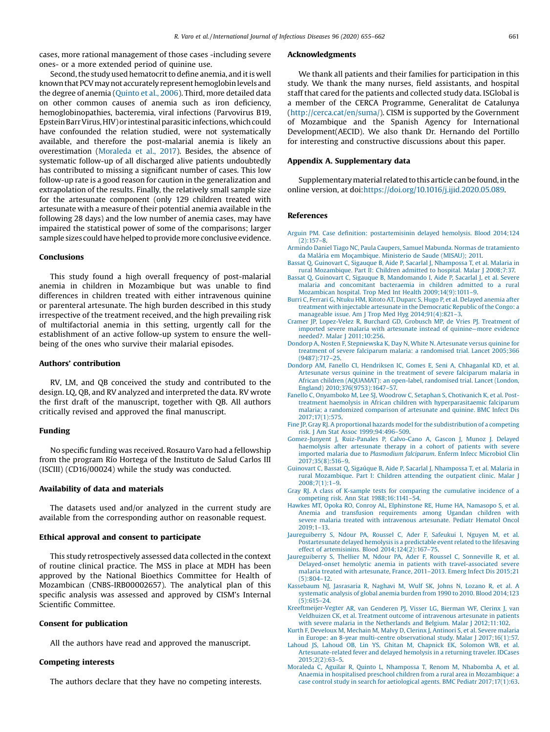<span id="page-6-0"></span>cases, more rational management of those cases -including severe ones- or a more extended period of quinine use.

Second, the study used hematocrit to define anemia, and it is well known that PCV may not accurately represent hemoglobin levels and the degree of anemia [\(Quinto](#page-7-0) et al., 2006). Third, more detailed data on other common causes of anemia such as iron deficiency, hemoglobinopathies, bacteremia, viral infections (Parvovirus B19, Epstein Barr Virus, HIV) or intestinal parasitic infections, which could have confounded the relation studied, were not systematically available, and therefore the post-malarial anemia is likely an overestimation (Moraleda et al., 2017). Besides, the absence of systematic follow-up of all discharged alive patients undoubtedly has contributed to missing a significant number of cases. This low follow-up rate is a good reason for caution in the generalization and extrapolation of the results. Finally, the relatively small sample size for the artesunate component (only 129 children treated with artesunate with a measure of their potential anemia available in the following 28 days) and the low number of anemia cases, may have impaired the statistical power of some of the comparisons; larger sample sizes could have helped to provide more conclusive evidence.

#### Conclusions

This study found a high overall frequency of post-malarial anemia in children in Mozambique but was unable to find differences in children treated with either intravenous quinine or parenteral artesunate. The high burden described in this study irrespective of the treatment received, and the high prevailing risk of multifactorial anemia in this setting, urgently call for the establishment of an active follow-up system to ensure the wellbeing of the ones who survive their malarial episodes.

## Authors' contribution

RV, LM, and QB conceived the study and contributed to the design. LQ, QB, and RV analyzed and interpreted the data. RV wrote the first draft of the manuscript, together with QB. All authors critically revised and approved the final manuscript.

#### Funding

No specific funding was received. Rosauro Varo had a fellowship from the program Río Hortega of the Instituto de Salud Carlos III (ISCIII) (CD16/00024) while the study was conducted.

## Availability of data and materials

The datasets used and/or analyzed in the current study are available from the corresponding author on reasonable request.

## Ethical approval and consent to participate

This study retrospectively assessed data collected in the context of routine clinical practice. The MSS in place at MDH has been approved by the National Bioethics Committee for Health of Mozambican (CNBS-IRB00002657). The analytical plan of this specific analysis was assessed and approved by CISM's Internal Scientific Committee.

#### Consent for publication

All the authors have read and approved the manuscript.

## Competing interests

The authors declare that they have no competing interests.

#### Acknowledgments

We thank all patients and their families for participation in this study. We thank the many nurses, field assistants, and hospital staff that cared for the patients and collected study data. ISGlobal is a member of the CERCA Programme, Generalitat de Catalunya (<http://cerca.cat/en/suma/>). CISM is supported by the Government of Mozambique and the Spanish Agency for International Development(AECID). We also thank Dr. Hernando del Portillo for interesting and constructive discussions about this paper.

## Appendix A. Supplementary data

Supplementary material related to this article can be found, in the online version, at doi:<https://doi.org/10.1016/j.ijid.2020.05.089>.

## References

- Arguin PM. Case definition: [postartemisinin](http://refhub.elsevier.com/S1201-9712(20)30396-9/sbref0005) delayed hemolysis. Blood 2014;124 [\(2\):157](http://refhub.elsevier.com/S1201-9712(20)30396-9/sbref0005)–8.
- Armindo Daniel Tiago NC, Paula Caupers, Samuel Mabunda. Normas de [tratamiento](http://refhub.elsevier.com/S1201-9712(20)30396-9/sbref0010) da Malária em [Moçambique.](http://refhub.elsevier.com/S1201-9712(20)30396-9/sbref0010) Ministerio de Saude (MISAU); 2011.
- Bassat Q, Guinovart C, Sigauque B, Aide P, Sacarlal J, [Nhampossa](http://refhub.elsevier.com/S1201-9712(20)30396-9/sbref0015) T, et al. Malaria in rural [Mozambique.](http://refhub.elsevier.com/S1201-9712(20)30396-9/sbref0015) Part II: Children admitted to hospital. Malar J 2008;7:37.
- Bassat Q, Guinovart C, Sigauque B, [Mandomando](http://refhub.elsevier.com/S1201-9712(20)30396-9/sbref0020) I, Aide P, Sacarlal J, et al. Severe malaria and [concomitant](http://refhub.elsevier.com/S1201-9712(20)30396-9/sbref0020) bacteraemia in children admitted to a rural Mozambican hospital. Trop Med Int Health [2009;14\(9\):1011](http://refhub.elsevier.com/S1201-9712(20)30396-9/sbref0020)–9.
- Burri C, Ferrari G, Ntuku HM, Kitoto AT, Duparc S, Hugo P, et al. [Delayed](http://refhub.elsevier.com/S1201-9712(20)30396-9/sbref0025) anemia after treatment with injectable artesunate in the [Democratic](http://refhub.elsevier.com/S1201-9712(20)30396-9/sbref0025) Republic of the Congo: a manageable issue. Am J Trop Med Hyg [2014;91\(4\):821](http://refhub.elsevier.com/S1201-9712(20)30396-9/sbref0025)–3.
- Cramer JP, [Lopez-Velez](http://refhub.elsevier.com/S1201-9712(20)30396-9/sbref0030) R, Burchard GD, Grobusch MP, de Vries PJ. Treatment of imported severe malaria with [artesunate](http://refhub.elsevier.com/S1201-9712(20)30396-9/sbref0030) instead of quinine—more evidence needed?. Malar J [2011;10:256](http://refhub.elsevier.com/S1201-9712(20)30396-9/sbref0030).
- Dondorp A, Nosten F, [Stepniewska](http://refhub.elsevier.com/S1201-9712(20)30396-9/sbref0035) K, Day N, White N. Artesunate versus quinine for treatment of severe falciparum malaria: a [randomised](http://refhub.elsevier.com/S1201-9712(20)30396-9/sbref0035) trial. Lancet 2005;366 [\(9487\):717](http://refhub.elsevier.com/S1201-9712(20)30396-9/sbref0035)–25.
- Dondorp AM, Fanello CI, [Hendriksen](http://refhub.elsevier.com/S1201-9712(20)30396-9/sbref0040) IC, Gomes E, Seni A, Chhaganlal KD, et al. [Artesunate](http://refhub.elsevier.com/S1201-9712(20)30396-9/sbref0040) versus quinine in the treatment of severe falciparum malaria in African children [\(AQUAMAT\):](http://refhub.elsevier.com/S1201-9712(20)30396-9/sbref0040) an open-label, randomised trial. Lancet (London, England) [2010;376\(9753\):1647](http://refhub.elsevier.com/S1201-9712(20)30396-9/sbref0040)–57.
- Fanello C, [Onyamboko](http://refhub.elsevier.com/S1201-9712(20)30396-9/sbref0045) M, Lee SJ, Woodrow C, Setaphan S, Chotivanich K, et al. Posttreatment haemolysis in African children with [hyperparasitaemic](http://refhub.elsevier.com/S1201-9712(20)30396-9/sbref0045) falciparum malaria; a [randomized](http://refhub.elsevier.com/S1201-9712(20)30396-9/sbref0045) comparison of artesunate and quinine. BMC Infect Dis [2017;17\(1\):575.](http://refhub.elsevier.com/S1201-9712(20)30396-9/sbref0045)
- Fine JP, Gray RJ. A proportional hazards model for the [subdistribution](http://refhub.elsevier.com/S1201-9712(20)30396-9/sbref0050) of a competing risk. J Am Stat Assoc [1999;94:496](http://refhub.elsevier.com/S1201-9712(20)30396-9/sbref0050)–509.
- [Gomez-Junyent](http://refhub.elsevier.com/S1201-9712(20)30396-9/sbref0055) J, Ruiz-Panales P, Calvo-Cano A, Gascon J, Munoz J. Delayed [haemolysis](http://refhub.elsevier.com/S1201-9712(20)30396-9/sbref0055) after artesunate therapy in a cohort of patients with severe imported malaria due to [Plasmodium](http://refhub.elsevier.com/S1201-9712(20)30396-9/sbref0055) falciparum. Enferm Infecc Microbiol Clin [2017;35\(8\):516](http://refhub.elsevier.com/S1201-9712(20)30396-9/sbref0055)–9.
- Guinovart C, Bassat Q, Sigaúque B, Aide P, Sacarlal J, [Nhampossa](http://refhub.elsevier.com/S1201-9712(20)30396-9/sbref0060) T, et al. Malaria in rural [Mozambique.](http://refhub.elsevier.com/S1201-9712(20)30396-9/sbref0060) Part I: Children attending the outpatient clinic. Malar J [2008;7\(1\):1](http://refhub.elsevier.com/S1201-9712(20)30396-9/sbref0060)–9.
- Gray RJ. A class of K-sample tests for comparing the [cumulative](http://refhub.elsevier.com/S1201-9712(20)30396-9/sbref0065) incidence of a competing risk. Ann Stat [1988;16:1141](http://refhub.elsevier.com/S1201-9712(20)30396-9/sbref0065)–54.
- Hawkes MT, Opoka RO, Conroy AL, [Elphinstone](http://refhub.elsevier.com/S1201-9712(20)30396-9/sbref0070) RE, Hume HA, Namasopo S, et al. Anemia and transfusion [requirements](http://refhub.elsevier.com/S1201-9712(20)30396-9/sbref0070) among Ugandan children with severe malaria treated with [intravenous](http://refhub.elsevier.com/S1201-9712(20)30396-9/sbref0070) artesunate. Pediatr Hematol Oncol [2019;1](http://refhub.elsevier.com/S1201-9712(20)30396-9/sbref0070)–13.
- [Jaureguiberry](http://refhub.elsevier.com/S1201-9712(20)30396-9/sbref0075) S, Ndour PA, Roussel C, Ader F, Safeukui I, Nguyen M, et al. [Postartesunate](http://refhub.elsevier.com/S1201-9712(20)30396-9/sbref0075) delayed hemolysis is a predictable event related to the lifesaving effect of artemisinins. Blood  $2014;124(2):167-75$  $2014;124(2):167-75$ .
- [Jaureguiberry](http://refhub.elsevier.com/S1201-9712(20)30396-9/sbref0080) S, Thellier M, Ndour PA, Ader F, Roussel C, Sonneville R, et al. Delayed-onset hemolytic anemia in patients with [travel-associated](http://refhub.elsevier.com/S1201-9712(20)30396-9/sbref0080) severe malaria treated with [artesunate,](http://refhub.elsevier.com/S1201-9712(20)30396-9/sbref0080) France, 2011–2013. Emerg Infect Dis 2015;21 [\(5\):804](http://refhub.elsevier.com/S1201-9712(20)30396-9/sbref0080)–12.
- [Kassebaum](http://refhub.elsevier.com/S1201-9712(20)30396-9/sbref0085) NJ, Jasrasaria R, Naghavi M, Wulf SK, Johns N, Lozano R, et al. A [systematic](http://refhub.elsevier.com/S1201-9712(20)30396-9/sbref0085) analysis of global anemia burden from 1990 to 2010. Blood 2014;123 [\(5\):615](http://refhub.elsevier.com/S1201-9712(20)30396-9/sbref0085)–24.
- [Kreeftmeijer-Vegter](http://refhub.elsevier.com/S1201-9712(20)30396-9/sbref0090) AR, van Genderen PJ, Visser LG, Bierman WF, Clerinx J, van Veldhuizen CK, et al. Treatment outcome of [intravenous](http://refhub.elsevier.com/S1201-9712(20)30396-9/sbref0090) artesunate in patients with severe malaria in the Netherlands and Belgium. Malar J 2012:11:102.
- Kurth F, [Develoux](http://refhub.elsevier.com/S1201-9712(20)30396-9/sbref0095) M, Mechain M, Malvy D, Clerinx J, Antinori S, et al. Severe malaria in Europe: an 8-year multi-centre observational study. Malar J [2017;16\(1\):57.](http://refhub.elsevier.com/S1201-9712(20)30396-9/sbref0095)
- Lahoud JS, Lahoud OB, Lin YS, Ghitan M, [Chapnick](http://refhub.elsevier.com/S1201-9712(20)30396-9/sbref0100) EK, Solomon WB, et al. [Artesunate-related](http://refhub.elsevier.com/S1201-9712(20)30396-9/sbref0100) fever and delayed hemolysis in a returning traveler. IDCases [2015;2\(2\):63](http://refhub.elsevier.com/S1201-9712(20)30396-9/sbref0100)–5.
- Moraleda C, Aguilar R, Quinto L, [Nhampossa](http://refhub.elsevier.com/S1201-9712(20)30396-9/sbref0105) T, Renom M, Nhabomba A, et al. Anaemia in hospitalised preschool children from a rural area in [Mozambique:](http://refhub.elsevier.com/S1201-9712(20)30396-9/sbref0105) a case control study in search for aetiological agents. BMC Pediatr [2017;17\(1\):63](http://refhub.elsevier.com/S1201-9712(20)30396-9/sbref0105).